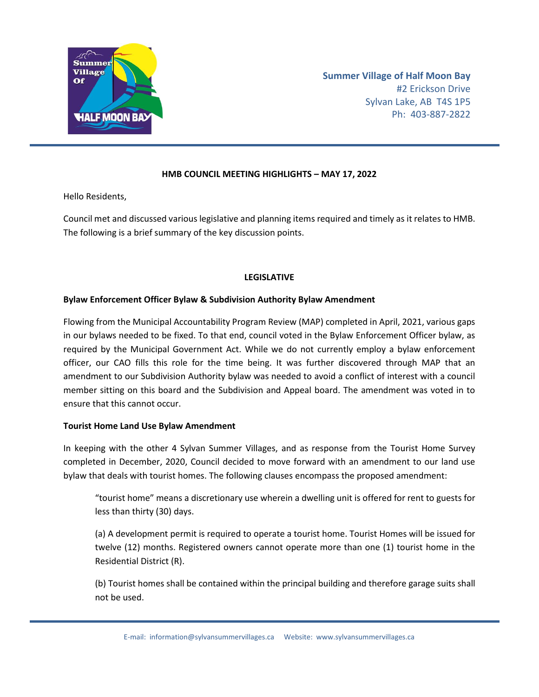

**Summer Village of Half Moon Bay** #2 Erickson Drive Sylvan Lake, AB T4S 1P5 Ph: 403-887-2822

# **HMB COUNCIL MEETING HIGHLIGHTS – MAY 17, 2022**

Hello Residents,

Council met and discussed various legislative and planning items required and timely as it relates to HMB. The following is a brief summary of the key discussion points.

## **LEGISLATIVE**

## **Bylaw Enforcement Officer Bylaw & Subdivision Authority Bylaw Amendment**

Flowing from the Municipal Accountability Program Review (MAP) completed in April, 2021, various gaps in our bylaws needed to be fixed. To that end, council voted in the Bylaw Enforcement Officer bylaw, as required by the Municipal Government Act. While we do not currently employ a bylaw enforcement officer, our CAO fills this role for the time being. It was further discovered through MAP that an amendment to our Subdivision Authority bylaw was needed to avoid a conflict of interest with a council member sitting on this board and the Subdivision and Appeal board. The amendment was voted in to ensure that this cannot occur.

#### **Tourist Home Land Use Bylaw Amendment**

In keeping with the other 4 Sylvan Summer Villages, and as response from the Tourist Home Survey completed in December, 2020, Council decided to move forward with an amendment to our land use bylaw that deals with tourist homes. The following clauses encompass the proposed amendment:

"tourist home" means a discretionary use wherein a dwelling unit is offered for rent to guests for less than thirty (30) days.

(a) A development permit is required to operate a tourist home. Tourist Homes will be issued for twelve (12) months. Registered owners cannot operate more than one (1) tourist home in the Residential District (R).

(b) Tourist homes shall be contained within the principal building and therefore garage suits shall not be used.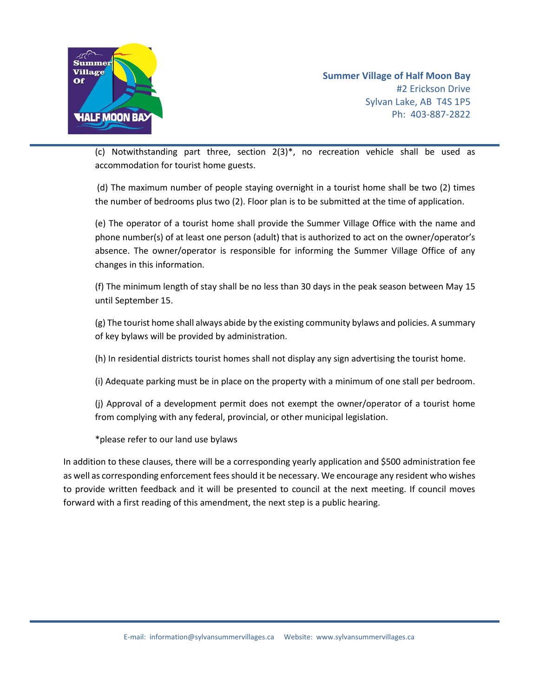

**Summer Village of Half Moon Bay** #2 Erickson Drive Sylvan Lake, AB T4S 1P5 Ph: 403-887-2822

(c) Notwithstanding part three, section 2(3)\*, no recreation vehicle shall be used as accommodation for tourist home guests.

(d) The maximum number of people staying overnight in a tourist home shall be two (2) times the number of bedrooms plus two (2). Floor plan is to be submitted at the time of application.

(e) The operator of a tourist home shall provide the Summer Village Office with the name and phone number(s) of at least one person (adult) that is authorized to act on the owner/operator's absence. The owner/operator is responsible for informing the Summer Village Office of any changes in this information.

(f) The minimum length of stay shall be no less than 30 days in the peak season between May 15 until September 15.

(g) The tourist home shall always abide by the existing community bylaws and policies. A summary of key bylaws will be provided by administration.

(h) In residential districts tourist homes shall not display any sign advertising the tourist home.

(i) Adequate parking must be in place on the property with a minimum of one stall per bedroom.

(j) Approval of a development permit does not exempt the owner/operator of a tourist home from complying with any federal, provincial, or other municipal legislation.

\*please refer to our land use bylaws

In addition to these clauses, there will be a corresponding yearly application and \$500 administration fee as well as corresponding enforcement fees should it be necessary. We encourage any resident who wishes to provide written feedback and it will be presented to council at the next meeting. If council moves forward with a first reading of this amendment, the next step is a public hearing.